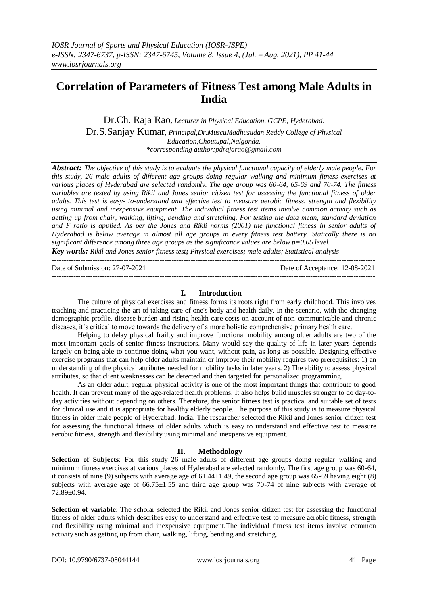# **Correlation of Parameters of Fitness Test among Male Adults in India**

Dr.Ch. Raja Rao*, Lecturer in Physical Education, GCPE, Hyderabad.* Dr.S.Sanjay Kumar*, Principal,Dr.MuscuMadhusudan Reddy College of Physical Education,Choutupal,Nalgonda. \*corresponding author:pdrajarao@gmail.com*

*Abstract: The objective of this study is to evaluate the physical functional capacity of elderly male people. For this study, 26 male adults of different age groups doing regular walking and minimum fitness exercises at various places of Hyderabad are selected randomly. The age group was 60-64, 65-69 and 70-74. The fitness variables are tested by using Rikil and Jones senior citizen test for assessing the functional fitness of older adults. This test is easy- to-understand and effective test to measure aerobic fitness, strength and flexibility using minimal and inexpensive equipment. The individual fitness test items involve common activity such as getting up from chair, walking, lifting, bending and stretching. For testing the data mean, standard deviation and F ratio is applied. As per the Jones and Rikli norms (2001) the functional fitness in senior adults of Hyderabad is below average in almost all age groups in every fitness test battery. Statically there is no significant difference among three age groups as the significance values are below p=0.05 level.*

*Key words: Rikil and Jones senior fitness test; Physical exercises; male adults; Statistical analysis*

| Date of Submission: 27-07-2021 | Date of Acceptance: 12-08-2021 |
|--------------------------------|--------------------------------|
|                                |                                |

#### **I. Introduction**

The culture of physical exercises and fitness forms its roots right from early childhood. This involves teaching and practicing the art of taking care of one's body and health daily. In the scenario, with the changing demographic profile, disease burden and rising health care costs on account of non-communicable and chronic diseases, it's critical to move towards the delivery of a more holistic comprehensive primary health care.

Helping to delay physical frailty and improve functional mobility among older adults are two of the most important goals of senior fitness instructors. Many would say the quality of life in later years depends largely on being able to continue doing what you want, without pain, as long as possible. Designing effective exercise programs that can help older adults maintain or improve their mobility requires two prerequisites: 1) an understanding of the physical attributes needed for mobility tasks in later years. 2) The ability to assess physical attributes, so that client weaknesses can be detected and then targeted for personalized programming.

As an older adult, regular physical activity is one of the most important things that contribute to good health. It can prevent many of the age-related health problems. It also helps build muscles stronger to do day-today activities without depending on others. Therefore, the senior fitness test is practical and suitable set of tests for clinical use and it is appropriate for healthy elderly people. The purpose of this study is to measure physical fitness in older male people of Hyderabad, India. The researcher selected the Rikil and Jones senior citizen test for assessing the functional fitness of older adults which is easy to understand and effective test to measure aerobic fitness, strength and flexibility using minimal and inexpensive equipment.

#### **II. Methodology**

**Selection of Subjects**: For this study 26 male adults of different age groups doing regular walking and minimum fitness exercises at various places of Hyderabad are selected randomly. The first age group was 60-64, it consists of nine (9) subjects with average age of  $61.44\pm1.49$ , the second age group was 65-69 having eight (8) subjects with average age of  $66.75 \pm 1.55$  and third age group was 70-74 of nine subjects with average of 72.89±0.94.

**Selection of variable**: The scholar selected the Rikil and Jones senior citizen test for assessing the functional fitness of older adults which describes easy to understand and effective test to measure aerobic fitness, strength and flexibility using minimal and inexpensive equipment.The individual fitness test items involve common activity such as getting up from chair, walking, lifting, bending and stretching.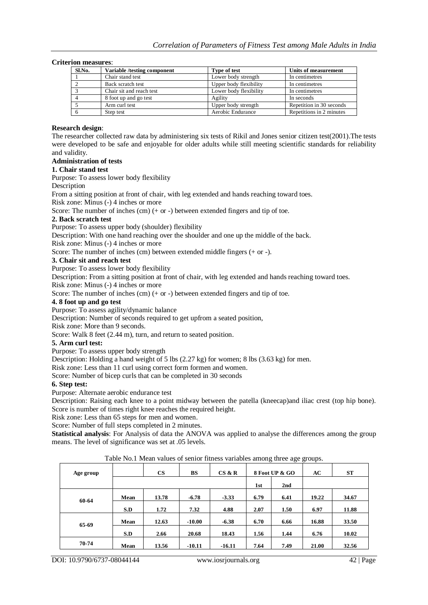#### **Criterion measures**:

| Sl.No. | Variable /testing component | Type of test           | Units of measurement     |
|--------|-----------------------------|------------------------|--------------------------|
|        | Chair stand test            | Lower body strength    | In centimetres           |
|        | Back scratch test           | Upper body flexibility | In centimetres           |
|        | Chair sit and reach test    | Lower body flexibility | In centimetres           |
|        | 8 foot up and go test       | Agility                | In seconds               |
|        | Arm curl test               | Upper body strength    | Repetition in 30 seconds |
|        | Step test                   | Aerobic Endurance      | Repetitions in 2 minutes |

#### **Research design**:

The researcher collected raw data by administering six tests of Rikil and Jones senior citizen test(2001).The tests were developed to be safe and enjoyable for older adults while still meeting scientific standards for reliability and validity.

## **Administration of tests**

# **1. Chair stand test**

Purpose: To assess lower body flexibility

Description

From a sitting position at front of chair, with leg extended and hands reaching toward toes.

Risk zone: Minus (-) 4 inches or more

Score: The number of inches  $(cm)$  (+ or -) between extended fingers and tip of toe.

#### **2. Back scratch test**

Purpose: To assess upper body (shoulder) flexibility

Description: With one hand reaching over the shoulder and one up the middle of the back.

Risk zone: Minus (-) 4 inches or more

Score: The number of inches (cm) between extended middle fingers (+ or -).

#### **3. Chair sit and reach test**

Purpose: To assess lower body flexibility

Description: From a sitting position at front of chair, with leg extended and hands reaching toward toes.

Risk zone: Minus (-) 4 inches or more

Score: The number of inches (cm) (+ or -) between extended fingers and tip of toe.

### **4. 8 foot up and go test**

Purpose: To assess agility/dynamic balance

Description: Number of seconds required to get upfrom a seated position,

Risk zone: More than 9 seconds. Score: Walk 8 feet  $(2.44 \text{ m})$ , turn, and return to seated position.

#### **5. Arm curl test:**

Purpose: To assess upper body strength

Description: Holding a hand weight of 5 lbs  $(2.27 \text{ kg})$  for women; 8 lbs  $(3.63 \text{ kg})$  for men.

Risk zone: Less than 11 curl using correct form formen and women.

Score: Number of bicep curls that can be completed in 30 seconds

#### **6. Step test:**

Purpose: Alternate aerobic endurance test

Description: Raising each knee to a point midway between the patella (kneecap)and iliac crest (top hip bone). Score is number of times right knee reaches the required height.

Risk zone: Less than 65 steps for men and women.

Score: Number of full steps completed in 2 minutes.

**Statistical analysis**: For Analysis of data the ANOVA was applied to analyse the differences among the group means. The level of significance was set at .05 levels.

| Table INO. I Mean values of semol nutess variables among three age groups. |      |               |          |          |      |                |       |           |
|----------------------------------------------------------------------------|------|---------------|----------|----------|------|----------------|-------|-----------|
| Age group                                                                  |      | $\mathbf{CS}$ | BS       | CS & R   |      | 8 Foot UP & GO | AC    | <b>ST</b> |
|                                                                            |      |               |          |          | 1st  | 2nd            |       |           |
| 60-64                                                                      | Mean | 13.78         | $-6.78$  | $-3.33$  | 6.79 | 6.41           | 19.22 | 34.67     |
|                                                                            | S.D  | 1.72          | 7.32     | 4.88     | 2.07 | 1.50           | 6.97  | 11.88     |
| 65-69                                                                      | Mean | 12.63         | $-10.00$ | $-6.38$  | 6.70 | 6.66           | 16.88 | 33.50     |
|                                                                            | S.D  | 2.66          | 20.68    | 18.43    | 1.56 | 1.44           | 6.76  | 10.02     |
| 70-74                                                                      | Mean | 13.56         | $-10.11$ | $-16.11$ | 7.64 | 7.49           | 21.00 | 32.56     |

Table No.1 Mean values of senior fitness variables among three age groups.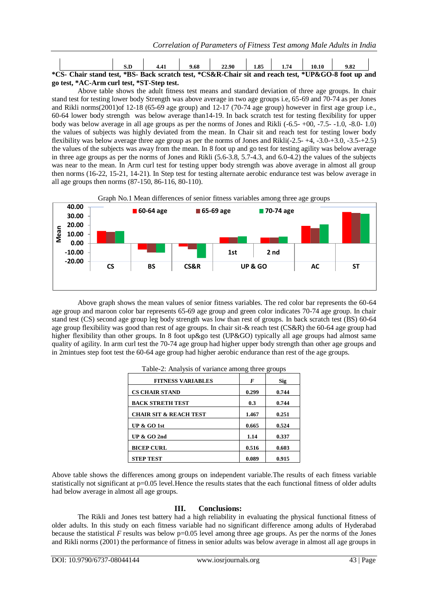|                                            |                                                                                                     | S.D | 4.41 | 9.68 | 22.90 | 1.85 | 1.74 | 10.10 | 9.82 |  |
|--------------------------------------------|-----------------------------------------------------------------------------------------------------|-----|------|------|-------|------|------|-------|------|--|
|                                            | *CS- Chair stand test, *BS- Back scratch test, *CS&R-Chair sit and reach test, *UP&GO-8 foot up and |     |      |      |       |      |      |       |      |  |
| go test, *AC-Arm curl test, *ST-Step test. |                                                                                                     |     |      |      |       |      |      |       |      |  |

Above table shows the adult fitness test means and standard deviation of three age groups. In chair stand test for testing lower body Strength was above average in two age groups i.e, 65-69 and 70-74 as per Jones and Rikli norms(2001)of 12-18 (65-69 age group) and 12-17 (70-74 age group) however in first age group i.e., 60-64 lower body strength was below average than14-19. In back scratch test for testing flexibility for upper body was below average in all age groups as per the norms of Jones and Rikli (-6.5- +00, -7.5- -1.0, -8.0- 1.0) the values of subjects was highly deviated from the mean. In Chair sit and reach test for testing lower body flexibility was below average three age group as per the norms of Jones and Rikli(-2.5- +4, -3.0-+3.0, -3.5-+2.5) the values of the subjects was away from the mean. In 8 foot up and go test for testing agility was below average in three age groups as per the norms of Jones and Rikli  $(5.6-3.8, 5.7-4.3,$  and  $6.0-4.2)$  the values of the subjects was near to the mean. In Arm curl test for testing upper body strength was above average in almost all group then norms (16-22, 15-21, 14-21). In Step test for testing alternate aerobic endurance test was below average in all age groups then norms (87-150, 86-116, 80-110).



Graph No.1 Mean differences of senior fitness variables among three age groups

Above graph shows the mean values of senior fitness variables. The red color bar represents the 60-64 age group and maroon color bar represents 65-69 age group and green color indicates 70-74 age group. In chair stand test (CS) second age group leg body strength was low than rest of groups. In back scratch test (BS) 60-64 age group flexibility was good than rest of age groups. In chair sit-& reach test (CS&R) the 60-64 age group had higher flexibility than other groups. In 8 foot up&go test (UP&GO) typically all age groups had almost same quality of agility. In arm curl test the 70-74 age group had higher upper body strength than other age groups and in 2mintues step foot test the 60-64 age group had higher aerobic endurance than rest of the age groups.

| <b>FITNESS VARIABLES</b>          | F     | Sig   |
|-----------------------------------|-------|-------|
| <b>CS CHAIR STAND</b>             | 0.299 | 0.744 |
| <b>BACK STRETH TEST</b>           | 0.3   | 0.744 |
| <b>CHAIR SIT &amp; REACH TEST</b> | 1.467 | 0.251 |
| UP $&$ GO 1st                     | 0.665 | 0.524 |
| UP $&$ GO 2nd                     | 1.14  | 0.337 |
| <b>BICEP CURL</b>                 | 0.516 | 0.603 |
| <b>STEP TEST</b>                  | 0.089 | 0.915 |

|  | Table-2: Analysis of variance among three groups |
|--|--------------------------------------------------|
|  |                                                  |

Above table shows the differences among groups on independent variable.The results of each fitness variable statistically not significant at  $p=0.05$  level. Hence the results states that the each functional fitness of older adults had below average in almost all age groups.

## **III. Conclusions:**

The Rikli and Jones test battery had a high reliability in evaluating the physical functional fitness of older adults. In this study on each fitness variable had no significant difference among adults of Hyderabad because the statistical  $F$  results was below  $p=0.05$  level among three age groups. As per the norms of the Jones and Rikli norms (2001) the performance of fitness in senior adults was below average in almost all age groups in